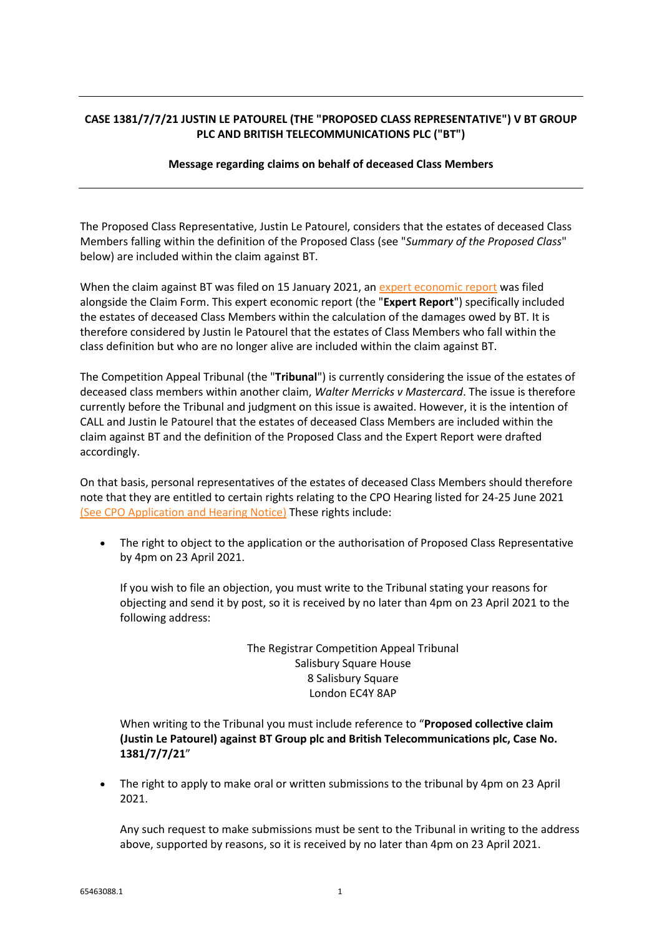## **CASE 1381/7/7/21 JUSTIN LE PATOUREL (THE "PROPOSED CLASS REPRESENTATIVE") V BT GROUP PLC AND BRITISH TELECOMMUNICATIONS PLC ("BT")**

## **Message regarding claims on behalf of deceased Class Members**

The Proposed Class Representative, Justin Le Patourel, considers that the estates of deceased Class Members falling within the definition of the Proposed Class (see "*Summary of the Proposed Class*" below) are included within the claim against BT.

When the claim against BT was filed on 15 January 2021, an [expert economic report](https://callclaim.co.uk/media/0bjnno1b/claim-form-bundle.pdf) was filed alongside the Claim Form. This expert economic report (the "**Expert Report**") specifically included the estates of deceased Class Members within the calculation of the damages owed by BT. It is therefore considered by Justin le Patourel that the estates of Class Members who fall within the class definition but who are no longer alive are included within the claim against BT.

The Competition Appeal Tribunal (the "**Tribunal**") is currently considering the issue of the estates of deceased class members within another claim, *Walter Merricks v Mastercard*. The issue is therefore currently before the Tribunal and judgment on this issue is awaited. However, it is the intention of CALL and Justin le Patourel that the estates of deceased Class Members are included within the claim against BT and the definition of the Proposed Class and the Expert Report were drafted accordingly.

On that basis, personal representatives of the estates of deceased Class Members should therefore note that they are entitled to certain rights relating to the CPO Hearing listed for 24-25 June 2021 [\(See CPO Application and Hearing Notice\)](https://callclaim.co.uk/media/xawn4t3e/cpo-application-and-hearing-notice-3.pdf) These rights include:

• The right to object to the application or the authorisation of Proposed Class Representative by 4pm on 23 April 2021.

If you wish to file an objection, you must write to the Tribunal stating your reasons for objecting and send it by post, so it is received by no later than 4pm on 23 April 2021 to the following address:

> The Registrar Competition Appeal Tribunal Salisbury Square House 8 Salisbury Square London EC4Y 8AP

When writing to the Tribunal you must include reference to "**Proposed collective claim (Justin Le Patourel) against BT Group plc and British Telecommunications plc, Case No. 1381/7/7/21**"

• The right to apply to make oral or written submissions to the tribunal by 4pm on 23 April 2021.

Any such request to make submissions must be sent to the Tribunal in writing to the address above, supported by reasons, so it is received by no later than 4pm on 23 April 2021.